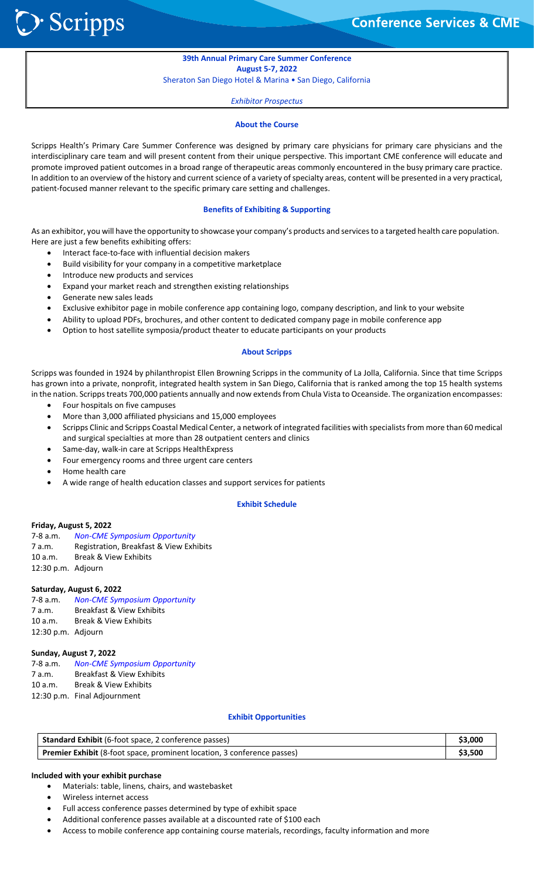**Conference Services & CME** 

## **39th Annual Primary Care Summer Conference August 5‐7, 2022**

Sheraton San Diego Hotel & Marina • San Diego, California

*Exhibitor Prospectus*

#### **About the Course**

Scripps Health's Primary Care Summer Conference was designed by primary care physicians for primary care physicians and the interdisciplinary care team and will present content from their unique perspective. This important CME conference will educate and promote improved patient outcomes in a broad range of therapeutic areas commonly encountered in the busy primary care practice. In addition to an overview of the history and current science of a variety of specialty areas, content will be presented in a very practical, patient-focused manner relevant to the specific primary care setting and challenges.

### **Benefits of Exhibiting & Supporting**

As an exhibitor, you will have the opportunity to showcase your company's products and services to a targeted health care population. Here are just a few benefits exhibiting offers:

- Interact face‐to‐face with influential decision makers
- Build visibility for your company in a competitive marketplace
- Introduce new products and services
- Expand your market reach and strengthen existing relationships
- Generate new sales leads

֦֘

> Scripps

- Exclusive exhibitor page in mobile conference app containing logo, company description, and link to your website
- Ability to upload PDFs, brochures, and other content to dedicated company page in mobile conference app
- Option to host satellite symposia/product theater to educate participants on your products

## **About Scripps**

Scripps was founded in 1924 by philanthropist Ellen Browning Scripps in the community of La Jolla, California. Since that time Scripps has grown into a private, nonprofit, integrated health system in San Diego, California that is ranked among the top 15 health systems in the nation. Scripps treats 700,000 patients annually and now extends from Chula Vista to Oceanside. The organization encompasses:

- Four hospitals on five campuses
- More than 3,000 affiliated physicians and 15,000 employees
- Scripps Clinic and Scripps Coastal Medical Center, a network of integrated facilities with specialists from more than 60 medical and surgical specialties at more than 28 outpatient centers and clinics
- Same‐day, walk‐in care at Scripps HealthExpress
- Four emergency rooms and three urgent care centers
- Home health care
- A wide range of health education classes and support services for patients

## **Exhibit Schedule**

### **Friday, August 5, 2022**

7‐8 a.m. *Non‐CME Symposium Opportunity* 7 a.m. Registration, Breakfast & View Exhibits 10 a.m. Break & View Exhibits 12:30 p.m. Adjourn

### **Saturday, August 6, 2022**

| 7-8 a.m.           | <b>Non-CME Symposium Opportunity</b> |
|--------------------|--------------------------------------|
| 7 a.m.             | <b>Breakfast &amp; View Exhibits</b> |
| 10 a.m.            | <b>Break &amp; View Exhibits</b>     |
| 12:30 p.m. Adjourn |                                      |

### **Sunday, August 7, 2022**

7‐8 a.m. *Non‐CME Symposium Opportunity* 7 a.m. Breakfast & View Exhibits 10 a.m. Break & View Exhibits 12:30 p.m. Final Adjournment

#### **Exhibit Opportunities**

| <b>Standard Exhibit</b> (6-foot space, 2 conference passes)                    | \$3,000 |
|--------------------------------------------------------------------------------|---------|
| <b>Premier Exhibit</b> (8-foot space, prominent location, 3 conference passes) | \$3,500 |

### **Included with your exhibit purchase**

- Materials: table, linens, chairs, and wastebasket
- Wireless internet access
- Full access conference passes determined by type of exhibit space
- Additional conference passes available at a discounted rate of \$100 each
- Access to mobile conference app containing course materials, recordings, faculty information and more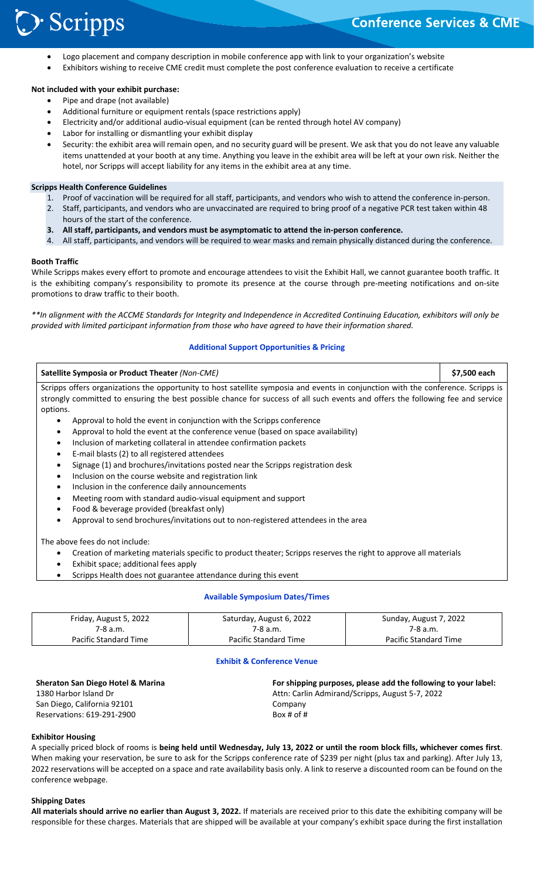- Logo placement and company description in mobile conference app with link to your organization's website
- Exhibitors wishing to receive CME credit must complete the post conference evaluation to receive a certificate

## **Not included with your exhibit purchase:**

**Scripps** 

- Pipe and drape (not available)
- Additional furniture or equipment rentals (space restrictions apply)
- Electricity and/or additional audio‐visual equipment (can be rented through hotel AV company)
- Labor for installing or dismantling your exhibit display
- Security: the exhibit area will remain open, and no security guard will be present. We ask that you do not leave any valuable items unattended at your booth at any time. Anything you leave in the exhibit area will be left at your own risk. Neither the hotel, nor Scripps will accept liability for any items in the exhibit area at any time.

### **Scripps Health Conference Guidelines**

- 1. Proof of vaccination will be required for all staff, participants, and vendors who wish to attend the conference in‐person.
- 2. Staff, participants, and vendors who are unvaccinated are required to bring proof of a negative PCR test taken within 48
- hours of the start of the conference.
- **3. All staff, participants, and vendors must be asymptomatic to attend the in‐person conference.**
- 4. All staff, participants, and vendors will be required to wear masks and remain physically distanced during the conference.

## **Booth Traffic**

֦֘

While Scripps makes every effort to promote and encourage attendees to visit the Exhibit Hall, we cannot guarantee booth traffic. It is the exhibiting company's responsibility to promote its presence at the course through pre-meeting notifications and on-site promotions to draw traffic to their booth.

*\*\*In alignment with the ACCME Standards for Integrity and Independence in Accredited Continuing Education, exhibitors will only be provided with limited participant information from those who have agreed to have their information shared.* 

## **Additional Support Opportunities & Pricing**

| Satellite Symposia or Product Theater (Non-CME)                                                                                   | \$7,500 each |  |
|-----------------------------------------------------------------------------------------------------------------------------------|--------------|--|
| Scripps offers organizations the opportunity to host satellite symposia and events in conjunction with the conference. Scripps is |              |  |
| strongly committed to ensuring the best possible chance for success of all such events and offers the following fee and service   |              |  |
| options.                                                                                                                          |              |  |
| Approval to hold the event in conjunction with the Scripps conference                                                             |              |  |
| Approval to hold the event at the conference venue (based on space availability)                                                  |              |  |
| Inclusion of marketing collateral in attendee confirmation packets                                                                |              |  |
| E-mail blasts (2) to all registered attendees                                                                                     |              |  |
| Signage (1) and brochures/invitations posted near the Scripps registration desk                                                   |              |  |
| Inclusion on the course website and registration link                                                                             |              |  |
| Inclusion in the conference daily announcements                                                                                   |              |  |
| Meeting room with standard audio-visual equipment and support                                                                     |              |  |
| Food & beverage provided (breakfast only)                                                                                         |              |  |
| Approval to send brochures/invitations out to non-registered attendees in the area                                                |              |  |
| The above fees do not include:                                                                                                    |              |  |
| Creation of marketing materials specific to product theater; Scripps reserves the right to approve all materials                  |              |  |
| Exhibit space; additional fees apply                                                                                              |              |  |
| Scripps Health does not guarantee attendance during this event                                                                    |              |  |

### **Available Symposium Dates/Times**

| Friday, August 5, 2022 | Saturday, August 6, 2022 | Sunday, August 7, 2022 |
|------------------------|--------------------------|------------------------|
| 7-8 a.m.               | 7-8 a.m.                 | 7-8 a.m.               |
| Pacific Standard Time  | Pacific Standard Time    | Pacific Standard Time  |

## **Exhibit & Conference Venue**

| <b>Sheraton San Diego Hotel &amp; Marina</b> | For shipping purposes, please add the following to your label: |
|----------------------------------------------|----------------------------------------------------------------|
| 1380 Harbor Island Dr                        | Attn: Carlin Admirand/Scripps, August 5-7, 2022                |
| San Diego, California 92101                  | Company                                                        |
| Reservations: 619-291-2900                   | Box # of #                                                     |

### **Exhibitor Housing**

A specially priced block of rooms is **being held until Wednesday, July 13, 2022 or until the room block fills, whichever comes first**. When making your reservation, be sure to ask for the Scripps conference rate of \$239 per night (plus tax and parking). After July 13, 2022 reservations will be accepted on a space and rate availability basis only. A link to reserve a discounted room can be found on the conference webpage.

#### **Shipping Dates**

**All materials should arrive no earlier than August 3, 2022.** If materials are received prior to this date the exhibiting company will be responsible for these charges. Materials that are shipped will be available at your company's exhibit space during the first installation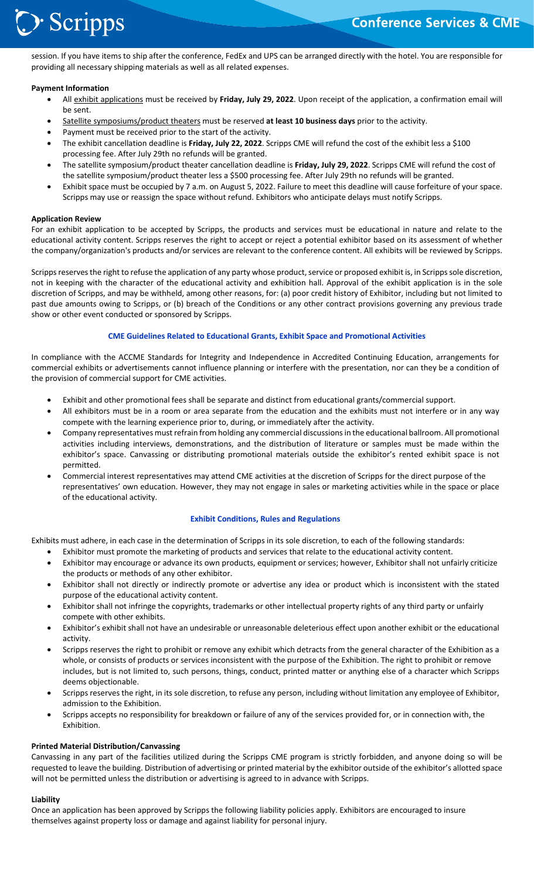# **>**Scripps

֦֘ session. If you have items to ship after the conference, FedEx and UPS can be arranged directly with the hotel. You are responsible for providing all necessary shipping materials as well as all related expenses.

## **Payment Information**

- All exhibit applications must be received by **Friday, July 29, 2022**. Upon receipt of the application, a confirmation email will be sent.
- Satellite symposiums/product theaters must be reserved **at least 10 business days** prior to the activity.
- Payment must be received prior to the start of the activity.
- The exhibit cancellation deadline is **Friday, July 22, 2022**. Scripps CME will refund the cost of the exhibit less a \$100 processing fee. After July 29th no refunds will be granted.
- The satellite symposium/product theater cancellation deadline is **Friday, July 29, 2022**. Scripps CME will refund the cost of the satellite symposium/product theater less a \$500 processing fee. After July 29th no refunds will be granted.
- Exhibit space must be occupied by 7 a.m. on August 5, 2022. Failure to meet this deadline will cause forfeiture of your space. Scripps may use or reassign the space without refund. Exhibitors who anticipate delays must notify Scripps.

## **Application Review**

For an exhibit application to be accepted by Scripps, the products and services must be educational in nature and relate to the educational activity content. Scripps reserves the right to accept or reject a potential exhibitor based on its assessment of whether the company/organization's products and/or services are relevant to the conference content. All exhibits will be reviewed by Scripps.

Scripps reserves the right to refuse the application of any party whose product, service or proposed exhibit is, in Scripps sole discretion, not in keeping with the character of the educational activity and exhibition hall. Approval of the exhibit application is in the sole discretion of Scripps, and may be withheld, among other reasons, for: (a) poor credit history of Exhibitor, including but not limited to past due amounts owing to Scripps, or (b) breach of the Conditions or any other contract provisions governing any previous trade show or other event conducted or sponsored by Scripps.

## **CME Guidelines Related to Educational Grants, Exhibit Space and Promotional Activities**

In compliance with the ACCME Standards for Integrity and Independence in Accredited Continuing Education, arrangements for commercial exhibits or advertisements cannot influence planning or interfere with the presentation, nor can they be a condition of the provision of commercial support for CME activities.

- Exhibit and other promotional fees shall be separate and distinct from educational grants/commercial support.
- All exhibitors must be in a room or area separate from the education and the exhibits must not interfere or in any way compete with the learning experience prior to, during, or immediately after the activity.
- Company representatives must refrain from holding any commercial discussions in the educational ballroom. All promotional activities including interviews, demonstrations, and the distribution of literature or samples must be made within the exhibitor's space. Canvassing or distributing promotional materials outside the exhibitor's rented exhibit space is not permitted.
- Commercial interest representatives may attend CME activities at the discretion of Scripps for the direct purpose of the representatives' own education. However, they may not engage in sales or marketing activities while in the space or place of the educational activity.

### **Exhibit Conditions, Rules and Regulations**

Exhibits must adhere, in each case in the determination of Scripps in its sole discretion, to each of the following standards:

- Exhibitor must promote the marketing of products and services that relate to the educational activity content.
- Exhibitor may encourage or advance its own products, equipment or services; however, Exhibitor shall not unfairly criticize the products or methods of any other exhibitor.
- Exhibitor shall not directly or indirectly promote or advertise any idea or product which is inconsistent with the stated purpose of the educational activity content.
- Exhibitor shall not infringe the copyrights, trademarks or other intellectual property rights of any third party or unfairly compete with other exhibits.
- Exhibitor's exhibit shall not have an undesirable or unreasonable deleterious effect upon another exhibit or the educational activity.
- Scripps reserves the right to prohibit or remove any exhibit which detracts from the general character of the Exhibition as a whole, or consists of products or services inconsistent with the purpose of the Exhibition. The right to prohibit or remove includes, but is not limited to, such persons, things, conduct, printed matter or anything else of a character which Scripps deems objectionable.
- Scripps reserves the right, in its sole discretion, to refuse any person, including without limitation any employee of Exhibitor, admission to the Exhibition.
- Scripps accepts no responsibility for breakdown or failure of any of the services provided for, or in connection with, the Exhibition.

### **Printed Material Distribution/Canvassing**

Canvassing in any part of the facilities utilized during the Scripps CME program is strictly forbidden, and anyone doing so will be requested to leave the building. Distribution of advertising or printed material by the exhibitor outside of the exhibitor's allotted space will not be permitted unless the distribution or advertising is agreed to in advance with Scripps.

### **Liability**

Once an application has been approved by Scripps the following liability policies apply. Exhibitors are encouraged to insure themselves against property loss or damage and against liability for personal injury.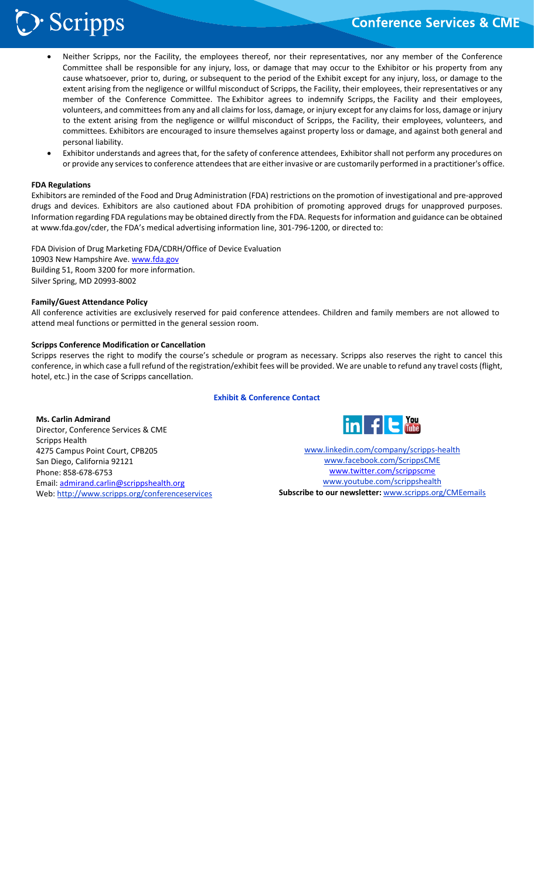# Scripps :

֦֘

- Neither Scripps, nor the Facility, the employees thereof, nor their representatives, nor any member of the Conference Committee shall be responsible for any injury, loss, or damage that may occur to the Exhibitor or his property from any cause whatsoever, prior to, during, or subsequent to the period of the Exhibit except for any injury, loss, or damage to the extent arising from the negligence or willful misconduct of Scripps, the Facility, their employees, their representatives or any member of the Conference Committee. The Exhibitor agrees to indemnify Scripps, the Facility and their employees, volunteers, and committees from any and all claims for loss, damage, or injury except for any claims for loss, damage or injury to the extent arising from the negligence or willful misconduct of Scripps, the Facility, their employees, volunteers, and committees. Exhibitors are encouraged to insure themselves against property loss or damage, and against both general and personal liability.
- Exhibitor understands and agrees that, for the safety of conference attendees, Exhibitor shall not perform any procedures on or provide any services to conference attendees that are either invasive or are customarily performed in a practitioner's office.

## **FDA Regulations**

Exhibitors are reminded of the Food and Drug Administration (FDA) restrictions on the promotion of investigational and pre‐approved drugs and devices. Exhibitors are also cautioned about FDA prohibition of promoting approved drugs for unapproved purposes. Information regarding FDA regulations may be obtained directly from the FDA. Requests for information and guidance can be obtained at www.fda.gov/cder, the FDA's medical advertising information line, 301‐796‐1200, or directed to:

FDA Division of Drug Marketing FDA/CDRH/Office of Device Evaluation 10903 New Hampshire Ave. www.fda.gov Building 51, Room 3200 for more information. Silver Spring, MD 20993‐8002

### **Family/Guest Attendance Policy**

All conference activities are exclusively reserved for paid conference attendees. Children and family members are not allowed to attend meal functions or permitted in the general session room.

## **Scripps Conference Modification or Cancellation**

Scripps reserves the right to modify the course's schedule or program as necessary. Scripps also reserves the right to cancel this conference, in which case a full refund of the registration/exhibit fees will be provided. We are unable to refund any travel costs (flight, hotel, etc.) in the case of Scripps cancellation.

## **Exhibit & Conference Contact**

### **Ms. Carlin Admirand**

Director, Conference Services & CME Scripps Health 4275 Campus Point Court, CPB205 San Diego, California 92121 Phone: 858‐678‐6753 Email: admirand.carlin@scrippshealth.org Web: http://www.scripps.org/conferenceservices



www.linkedin.com/company/scripps‐health www.facebook.com/ScrippsCME www.twitter.com/scrippscme www.youtube.com/scrippshealth **Subscribe to our newsletter:** www.scripps.org/CMEemails